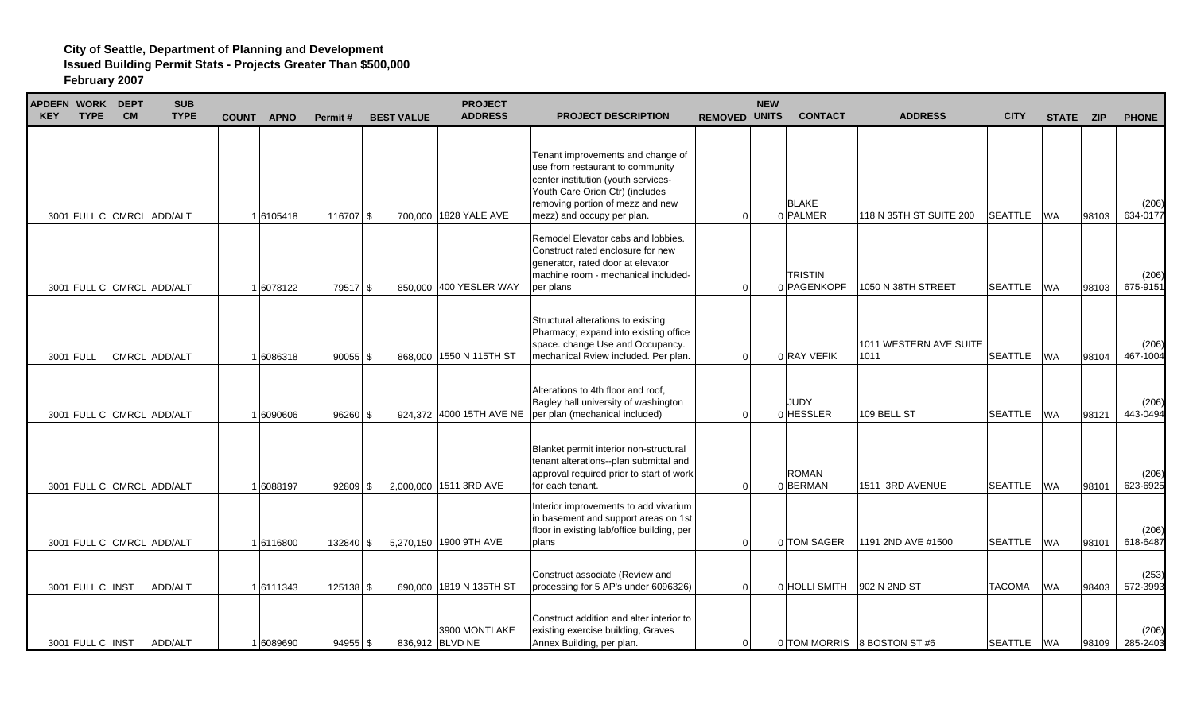| APDEFN WORK DEPT<br><b>KEY</b> | <b>TYPE</b>      | <b>CM</b> | <b>SUB</b><br><b>TYPE</b>                  | <b>COUNT</b> | <b>APNO</b>            | Permit#                | <b>BEST VALUE</b> | <b>PROJECT</b><br><b>ADDRESS</b>                  | <b>PROJECT DESCRIPTION</b>                                                                                                                                                                                        | <b>REMOVED UNITS</b> | <b>NEW</b> | <b>CONTACT</b>             | <b>ADDRESS</b>                                       | <b>CITY</b>                      | STATE ZIP              |                | <b>PHONE</b>                  |
|--------------------------------|------------------|-----------|--------------------------------------------|--------------|------------------------|------------------------|-------------------|---------------------------------------------------|-------------------------------------------------------------------------------------------------------------------------------------------------------------------------------------------------------------------|----------------------|------------|----------------------------|------------------------------------------------------|----------------------------------|------------------------|----------------|-------------------------------|
|                                |                  |           | 3001 FULL C CMRCL ADD/ALT                  |              | 1 6105418              | 116707 \$              |                   | 700.000 1828 YALE AVE                             | Tenant improvements and change of<br>use from restaurant to community<br>center institution (youth services-<br>Youth Care Orion Ctr) (includes<br>removing portion of mezz and new<br>mezz) and occupy per plan. | $\Omega$             |            | <b>BLAKE</b><br>0 PALMER   | 118 N 35TH ST SUITE 200                              | <b>SEATTLE</b>                   | <b>WA</b>              | 98103          | (206)<br>634-0177             |
|                                |                  |           |                                            |              |                        |                        |                   |                                                   | Remodel Elevator cabs and lobbies.<br>Construct rated enclosure for new<br>generator, rated door at elevator<br>machine room - mechanical included-                                                               |                      |            | <b>TRISTIN</b>             |                                                      |                                  |                        |                | (206)                         |
|                                | 3001 FULL        |           | 3001 FULL C CMRCL ADD/ALT<br>CMRCL ADD/ALT |              | 1 6078122<br>1 6086318 | 79517 \$<br>$90055$ \$ |                   | 850,000 400 YESLER WAY<br>868,000 1550 N 115TH ST | per plans<br>Structural alterations to existing<br>Pharmacy; expand into existing office<br>space. change Use and Occupancy.<br>mechanical Rview included. Per plan.                                              | $\Omega$<br>$\Omega$ |            | 0 PAGENKOPF<br>0 RAY VEFIK | 1050 N 38TH STREET<br>1011 WESTERN AVE SUITE<br>1011 | <b>SEATTLE</b><br><b>SEATTLE</b> | <b>WA</b><br><b>WA</b> | 98103<br>98104 | 675-9151<br>(206)<br>467-1004 |
|                                |                  |           | 3001 FULL C CMRCL ADD/ALT                  |              | 1 6090606              | $96260$ \$             |                   | 924,372 4000 15TH AVE NE                          | Alterations to 4th floor and roof,<br>Bagley hall university of washington<br>per plan (mechanical included)                                                                                                      | $\Omega$             |            | <b>JUDY</b><br>0 HESSLER   | 109 BELL ST                                          | <b>SEATTLE</b>                   | <b>WA</b>              | 98121          | (206)<br>443-0494             |
|                                |                  |           | 3001 FULL C CMRCL ADD/ALT                  |              | 1 6088197              | $92809$ \$             |                   | 2,000,000 1511 3RD AVE                            | Blanket permit interior non-structural<br>tenant alterations--plan submittal and<br>approval required prior to start of work<br>for each tenant.                                                                  | $\Omega$             |            | <b>ROMAN</b><br>0BERMAN    | 1511 3RD AVENUE                                      | <b>SEATTLE</b>                   | <b>WA</b>              | 98101          | (206)<br>623-6925             |
|                                |                  |           | 3001 FULL C CMRCL ADD/ALT                  |              | 16116800               | 132840 \$              |                   | 5,270,150 1900 9TH AVE                            | Interior improvements to add vivarium<br>in basement and support areas on 1st<br>floor in existing lab/office building, per<br>plans                                                                              | $\Omega$             |            | 0 TOM SAGER                | 1191 2ND AVE #1500                                   | <b>SEATTLE</b>                   | <b>WA</b>              | 98101          | (206)<br>618-6487             |
|                                | 3001 FULL C INST |           | <b>ADD/ALT</b>                             |              | 1 6111343              | 125138 \$              |                   | 690,000 1819 N 135TH ST                           | Construct associate (Review and<br>processing for 5 AP's under 6096326)                                                                                                                                           | $\Omega$             |            | 0 HOLLI SMITH              | 902 N 2ND ST                                         | <b>TACOMA</b>                    | <b>WA</b>              | 98403          | (253)<br>572-3993             |
|                                | 3001 FULL C INST |           | ADD/ALT                                    |              | 1 6089690              | $94955$ \$             |                   | 3900 MONTLAKE<br>836,912 BLVD NE                  | Construct addition and alter interior to<br>existing exercise building, Graves<br>Annex Building, per plan.                                                                                                       | $\overline{0}$       |            |                            | 0 TOM MORRIS 8 BOSTON ST #6                          | SEATTLE WA                       |                        | 98109          | (206)<br>285-2403             |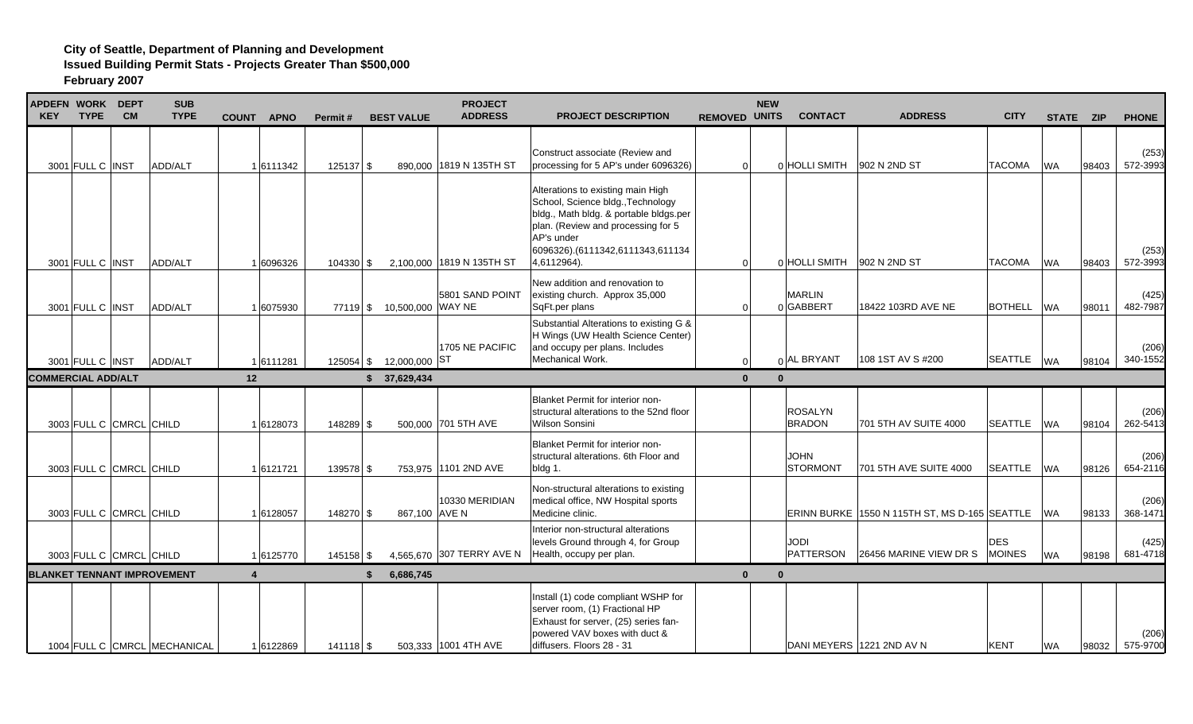| APDEFN WORK DEPT<br><b>KEY</b> | <b>TYPE</b>             | <b>CM</b> | <b>SUB</b><br><b>TYPE</b>          | <b>COUNT</b><br><b>APNO</b> | Permit#     | <b>BEST VALUE</b>          | <b>PROJECT</b><br><b>ADDRESS</b> | <b>PROJECT DESCRIPTION</b>                                                                                                                                                                                              | <b>REMOVED UNITS</b> | <b>NEW</b> | <b>CONTACT</b>                  | <b>ADDRESS</b>                                | <b>CITY</b>                 |           | STATE ZIP | <b>PHONE</b>      |
|--------------------------------|-------------------------|-----------|------------------------------------|-----------------------------|-------------|----------------------------|----------------------------------|-------------------------------------------------------------------------------------------------------------------------------------------------------------------------------------------------------------------------|----------------------|------------|---------------------------------|-----------------------------------------------|-----------------------------|-----------|-----------|-------------------|
|                                | 3001 FULL C INST        |           | ADD/ALT                            | 1 6111342                   | $125137$ \$ |                            | 890,000 1819 N 135TH ST          | Construct associate (Review and<br>processing for 5 AP's under 6096326)                                                                                                                                                 | $\Omega$             |            | 0 HOLLI SMITH                   | 902 N 2ND ST                                  | <b>TACOMA</b>               | <b>WA</b> | 98403     | (253)<br>572-3993 |
|                                | 3001 FULL C INST        |           | ADD/ALT                            | 1 6096326                   | 104330 \$   |                            | 2,100,000 1819 N 135TH ST        | Alterations to existing main High<br>School, Science bldg., Technology<br>bldg., Math bldg. & portable bldgs.per<br>plan. (Review and processing for 5<br>AP's under<br>6096326).(6111342,6111343,611134<br>4,6112964). | $\Omega$             |            | 0 HOLLI SMITH                   | 902 N 2ND ST                                  | TACOMA                      | <b>WA</b> | 98403     | (253)<br>572-3993 |
|                                | 3001 FULL C INST        |           | ADD/ALT                            | 1 6075930                   |             | 77119 \$ 10,500,000 WAY NE | 5801 SAND POINT                  | New addition and renovation to<br>existing church. Approx 35,000<br>SqFt.per plans                                                                                                                                      | $\Omega$             |            | <b>MARLIN</b><br>0GABBERT       | 18422 103RD AVE NE                            | <b>BOTHELL</b>              | <b>WA</b> | 98011     | (425)<br>482-7987 |
|                                | 3001 FULL C INST        |           | ADD/ALT                            | 1 6111281                   |             | 125054 \$ 12,000,000 ST    | 1705 NE PACIFIC                  | Substantial Alterations to existing G &<br>H Wings (UW Health Science Center)<br>and occupy per plans. Includes<br>Mechanical Work.                                                                                     | $\Omega$             |            | n AL BRYANT                     | 108 1ST AV S #200                             | SEATTLE WA                  |           | 98104     | (206)<br>340-1552 |
| <b>COMMERCIAL ADD/ALT</b>      |                         |           |                                    | 12                          |             | \$37,629,434               |                                  |                                                                                                                                                                                                                         | $\mathbf{0}$         | $\Omega$   |                                 |                                               |                             |           |           |                   |
|                                | 3003 FULL C CMRCL CHILD |           |                                    | 16128073                    | 148289 \$   |                            | 500,000 701 5TH AVE              | Blanket Permit for interior non-<br>structural alterations to the 52nd floor<br><b>Wilson Sonsini</b>                                                                                                                   |                      |            | <b>ROSALYN</b><br><b>BRADON</b> | 701 5TH AV SUITE 4000                         | <b>SEATTLE</b>              | <b>WA</b> | 98104     | (206)<br>262-5413 |
|                                | 3003 FULL C CMRCL CHILD |           |                                    | 16121721                    | 139578 \$   |                            | 753,975 1101 2ND AVE             | <b>Blanket Permit for interior non-</b><br>structural alterations. 6th Floor and<br>bldg 1.                                                                                                                             |                      |            | <b>JOHN</b><br><b>STORMONT</b>  | 701 5TH AVE SUITE 4000                        | <b>SEATTLE</b>              | <b>WA</b> | 98126     | (206)<br>654-2116 |
|                                | 3003 FULL C CMRCL CHILD |           |                                    | 1 6128057                   | 148270 \$   | 867,100 AVE N              | 10330 MERIDIAN                   | Non-structural alterations to existing<br>medical office, NW Hospital sports<br>Medicine clinic.                                                                                                                        |                      |            |                                 | ERINN BURKE 1550 N 115TH ST, MS D-165 SEATTLE |                             | <b>WA</b> | 98133     | (206)<br>368-1471 |
|                                | 3003 FULL C CMRCL CHILD |           |                                    | 1 6125770                   | 145158 \$   |                            | 4,565,670 307 TERRY AVE N        | Interior non-structural alterations<br>levels Ground through 4, for Group<br>Health, occupy per plan.                                                                                                                   |                      |            | <b>JODI</b><br>PATTERSON        | 26456 MARINE VIEW DR S                        | <b>DES</b><br><b>MOINES</b> | <b>WA</b> | 98198     | (425)<br>681-4718 |
|                                |                         |           | <b>BLANKET TENNANT IMPROVEMENT</b> | $\boldsymbol{\Lambda}$      |             | 6,686,745                  |                                  |                                                                                                                                                                                                                         | $\mathbf{0}$         | $\Omega$   |                                 |                                               |                             |           |           |                   |
|                                |                         |           | 1004 FULL C CMRCL MECHANICAL       | 16122869                    | $141118$ \$ |                            | 503,333 1001 4TH AVE             | Install (1) code compliant WSHP for<br>server room, (1) Fractional HP<br>Exhaust for server, (25) series fan-<br>powered VAV boxes with duct &<br>diffusers. Floors 28 - 31                                             |                      |            |                                 | DANI MEYERS 1221 2ND AV N                     | <b>KENT</b>                 | <b>WA</b> | 98032     | (206)<br>575-9700 |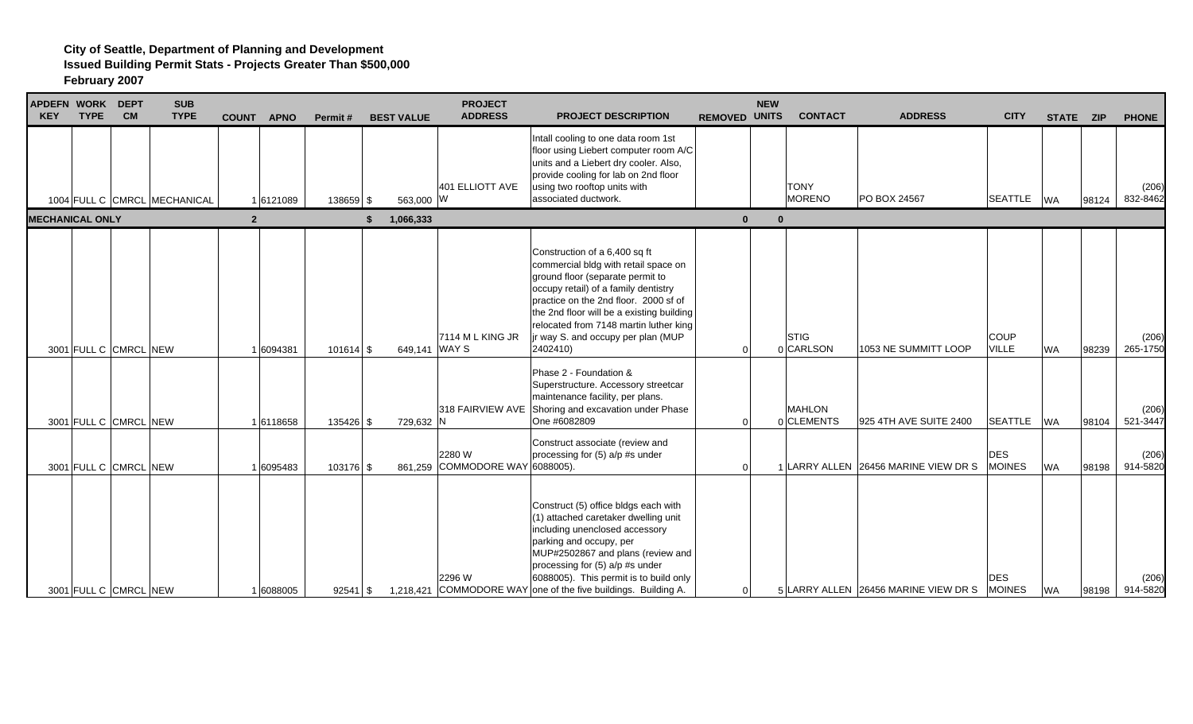| APDEFN WORK DEPT<br><b>KEY</b> | <b>TYPE</b> | <b>CM</b>             | <b>SUB</b><br><b>TYPE</b>    | <b>COUNT</b>   | <b>APNO</b> | Permit#     | <b>BEST VALUE</b> | <b>PROJECT</b><br><b>ADDRESS</b>          | <b>PROJECT DESCRIPTION</b>                                                                                                                                                                                                                                                                                                          | <b>REMOVED UNITS</b> | <b>NEW</b> | <b>CONTACT</b>               | <b>ADDRESS</b>                       | <b>CITY</b>                 | STATE ZIP |       | <b>PHONE</b>      |
|--------------------------------|-------------|-----------------------|------------------------------|----------------|-------------|-------------|-------------------|-------------------------------------------|-------------------------------------------------------------------------------------------------------------------------------------------------------------------------------------------------------------------------------------------------------------------------------------------------------------------------------------|----------------------|------------|------------------------------|--------------------------------------|-----------------------------|-----------|-------|-------------------|
|                                |             |                       | 1004 FULL C CMRCL MECHANICAL |                | 16121089    | 138659 \$   | 563,000 W         | 401 ELLIOTT AVE                           | Intall cooling to one data room 1st<br>floor using Liebert computer room A/C<br>units and a Liebert dry cooler. Also,<br>provide cooling for lab on 2nd floor<br>using two rooftop units with<br>associated ductwork.                                                                                                               |                      |            | <b>TONY</b><br><b>MORENO</b> | PO BOX 24567                         | SEATTLE WA                  |           | 98124 | (206)<br>832-8462 |
| <b>MECHANICAL ONLY</b>         |             |                       |                              | $\overline{2}$ |             |             | 1,066,333<br>\$   |                                           |                                                                                                                                                                                                                                                                                                                                     | $\mathbf{0}$         | $\Omega$   |                              |                                      |                             |           |       |                   |
|                                |             | 3001 FULL C CMRCL NEW |                              |                | 1 6094381   | $101614$ \$ | 649,141 WAY S     | 7114 ML KING JR                           | Construction of a 6,400 sq ft<br>commercial bldg with retail space on<br>ground floor (separate permit to<br>occupy retail) of a family dentistry<br>practice on the 2nd floor. 2000 sf of<br>the 2nd floor will be a existing building<br>relocated from 7148 martin luther king<br>jr way S. and occupy per plan (MUP<br>2402410) | $\Omega$             |            | STIG<br>0 CARLSON            | 1053 NE SUMMITT LOOP                 | <b>COUP</b><br><b>VILLE</b> | <b>WA</b> | 98239 | (206)<br>265-1750 |
|                                |             | 3001 FULL C CMRCL NEW |                              |                | 16118658    | 135426 \$   | 729,632 N         |                                           | Phase 2 - Foundation &<br>Superstructure. Accessory streetcar<br>maintenance facility, per plans.<br>318 FAIRVIEW AVE Shoring and excavation under Phase<br>One #6082809                                                                                                                                                            | $\Omega$             |            | <b>MAHLON</b><br>0 CLEMENTS  | 925 4TH AVE SUITE 2400               | <b>SEATTLE</b>              | <b>WA</b> | 98104 | (206)<br>521-3447 |
|                                |             | 3001 FULL C CMRCL NEW |                              |                | 1 6095483   | 103176 \$   |                   | 2280 W<br>861,259 COMMODORE WAY 6088005). | Construct associate (review and<br>processing for (5) a/p #s under                                                                                                                                                                                                                                                                  | $\Omega$             |            |                              | 1 LARRY ALLEN 26456 MARINE VIEW DR S | <b>DES</b><br><b>MOINES</b> | <b>WA</b> | 98198 | (206)<br>914-5820 |
|                                |             | 3001 FULL C CMRCL NEW |                              |                | 1 6088005   | $92541$ \$  |                   | 2296 W                                    | Construct (5) office bldgs each with<br>(1) attached caretaker dwelling unit<br>including unenclosed accessory<br>parking and occupy, per<br>MUP#2502867 and plans (review and<br>processing for (5) a/p #s under<br>6088005). This permit is to build only<br>1,218,421 COMMODORE WAY one of the five buildings. Building A.       | $\overline{0}$       |            |                              | 5 LARRY ALLEN 26456 MARINE VIEW DR S | <b>DES</b><br><b>MOINES</b> | <b>WA</b> | 98198 | (206)<br>914-5820 |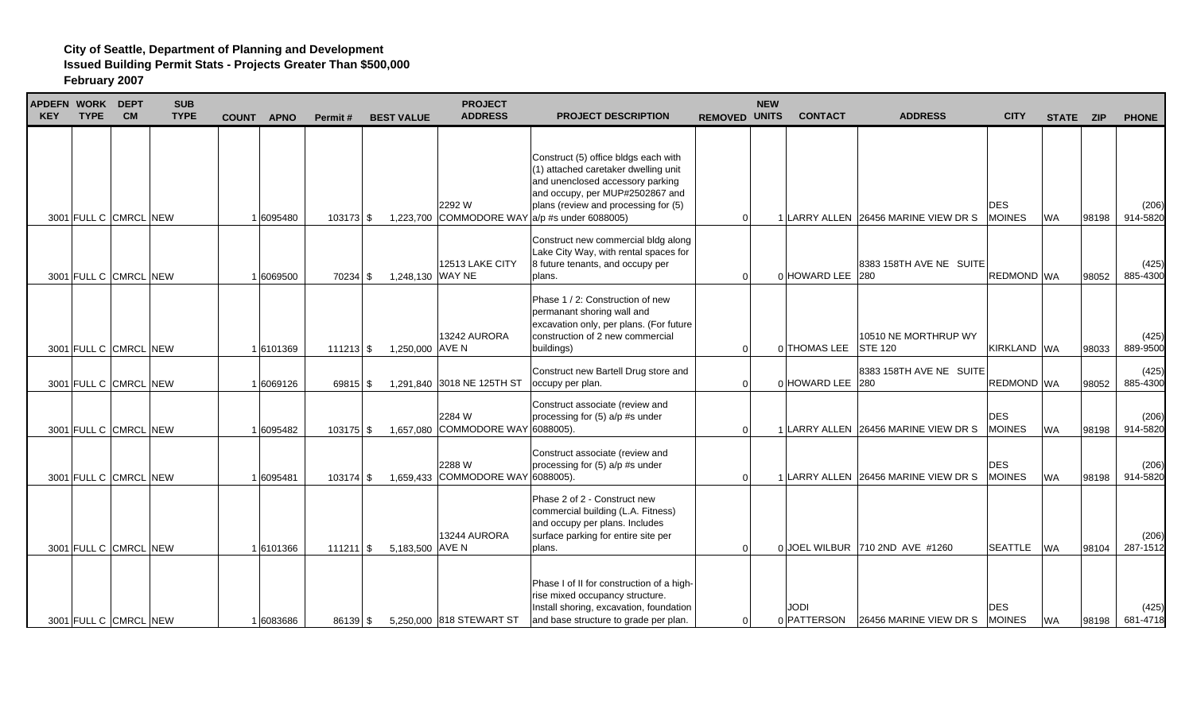| <b>APDEFN WORK DEPT</b><br><b>KEY</b> | <b>TYPE</b> | <b>CM</b>             | <b>SUB</b><br><b>TYPE</b> |  | COUNT APNO | Permit#             | <b>BEST VALUE</b> | <b>PROJECT</b><br><b>ADDRESS</b>            | <b>PROJECT DESCRIPTION</b>                                                                                                                                                                                                                                             | <b>REMOVED UNITS</b> |          | <b>NEW</b> | <b>CONTACT</b>      | <b>ADDRESS</b>                         | <b>CITY</b>                 | STATE ZIP |       | <b>PHONE</b>      |
|---------------------------------------|-------------|-----------------------|---------------------------|--|------------|---------------------|-------------------|---------------------------------------------|------------------------------------------------------------------------------------------------------------------------------------------------------------------------------------------------------------------------------------------------------------------------|----------------------|----------|------------|---------------------|----------------------------------------|-----------------------------|-----------|-------|-------------------|
|                                       |             | 3001 FULL C CMRCL NEW |                           |  | 1 6095480  | $103173$ \$         |                   | 2292 W                                      | Construct (5) office bldgs each with<br>(1) attached caretaker dwelling unit<br>and unenclosed accessory parking<br>and occupy, per MUP#2502867 and<br>plans (review and processing for (5)<br>1,223,700 COMMODORE WAY $\vert a/p \rightleftharpoons a$ under 6088005) |                      | $\Omega$ |            |                     | 1 LARRY ALLEN 26456 MARINE VIEW DR S   | DES<br><b>MOINES</b>        | <b>WA</b> | 98198 | (206)<br>914-5820 |
|                                       |             | 3001 FULL C CMRCL NEW |                           |  | 1 6069500  | 70234 \$            | 1,248,130 WAY NE  | 12513 LAKE CITY                             | Construct new commercial bldg along<br>Lake City Way, with rental spaces for<br>8 future tenants, and occupy per<br>plans.                                                                                                                                             |                      | $\Omega$ |            | 0 HOWARD LEE 280    | 8383 158TH AVE NE SUITE                | REDMOND WA                  |           | 98052 | (425)<br>885-4300 |
|                                       |             | 3001 FULL C CMRCL NEW |                           |  | 16101369   | $111213$ \$         | 1,250,000 AVE N   | 13242 AURORA                                | Phase 1 / 2: Construction of new<br>permanant shoring wall and<br>excavation only, per plans. (For future<br>construction of 2 new commercial<br>buildings)                                                                                                            |                      | $\Omega$ |            | 0 THOMAS LEE        | 10510 NE MORTHRUP WY<br><b>STE 120</b> | KIRKLAND WA                 |           | 98033 | (425)<br>889-9500 |
|                                       |             | 3001 FULL C CMRCL NEW |                           |  | 6069126    | 69815 \$            |                   | 1,291,840 3018 NE 125TH ST                  | Construct new Bartell Drug store and<br>occupy per plan.                                                                                                                                                                                                               |                      | $\Omega$ |            | 0 HOWARD LEE        | 8383 158TH AVE NE SUITE<br>280         | REDMOND WA                  |           | 98052 | (425)<br>885-4300 |
|                                       |             | 3001 FULL C CMRCL NEW |                           |  | 1 6095482  | $103175$ \$         |                   | 2284 W<br>1,657,080 COMMODORE WAY 6088005). | Construct associate (review and<br>processing for (5) a/p #s under                                                                                                                                                                                                     |                      | O        |            |                     | LARRY ALLEN 26456 MARINE VIEW DR S     | <b>DES</b><br><b>MOINES</b> | <b>WA</b> | 98198 | (206)<br>914-5820 |
|                                       |             | 3001 FULL C CMRCL NEW |                           |  | 6095481    | $103174$ \$         |                   | 2288 W<br>1,659,433 COMMODORE WAY 6088005). | Construct associate (review and<br>processing for (5) a/p #s under                                                                                                                                                                                                     |                      | $\Omega$ |            |                     | LARRY ALLEN 26456 MARINE VIEW DR S     | <b>DES</b><br><b>MOINES</b> | <b>WA</b> | 98198 | (206)<br>914-5820 |
|                                       |             | 3001 FULL C CMRCL NEW |                           |  | 1 6101366  | $111211$ $\sqrt{5}$ | 5,183,500 AVE N   | 13244 AURORA                                | Phase 2 of 2 - Construct new<br>commercial building (L.A. Fitness)<br>and occupy per plans. Includes<br>surface parking for entire site per<br>plans.                                                                                                                  |                      | $\Omega$ |            |                     | 0 JOEL WILBUR 710 2ND AVE #1260        | <b>SEATTLE</b>              | <b>WA</b> | 98104 | (206)<br>287-1512 |
|                                       |             | 3001 FULL C CMRCL NEW |                           |  | 1 6083686  | 86139 \$            |                   | 5,250,000 818 STEWART ST                    | Phase I of II for construction of a high-<br>rise mixed occupancy structure.<br>Install shoring, excavation, foundation<br>and base structure to grade per plan.                                                                                                       |                      | $\Omega$ |            | JODI<br>0 PATTERSON | 26456 MARINE VIEW DR S                 | DES<br><b>MOINES</b>        | <b>WA</b> | 98198 | (425)<br>681-4718 |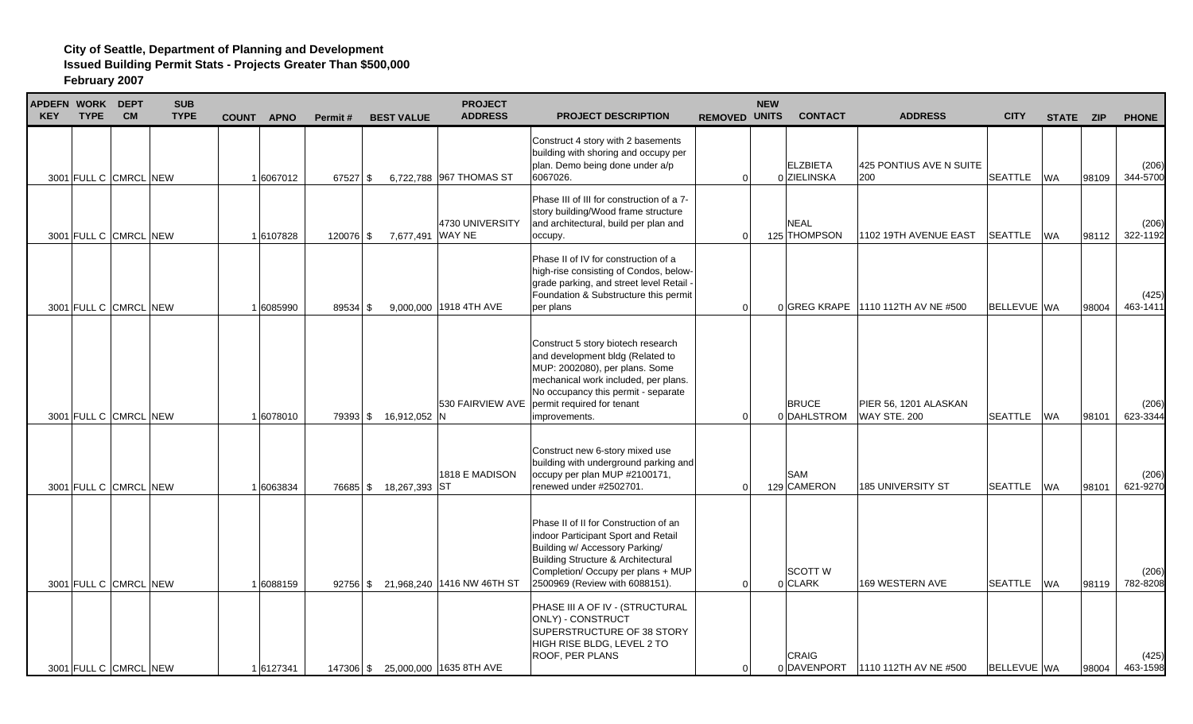| <b>APDEFN WORK DEPT</b><br><b>KEY</b> | <b>TYPE</b> | <b>CM</b>             | <b>SUB</b><br><b>TYPE</b> | <b>COUNT</b><br><b>APNO</b> | Permit#    | <b>BEST VALUE</b>      | <b>PROJECT</b><br><b>ADDRESS</b>    | <b>PROJECT DESCRIPTION</b>                                                                                                                                                                                                                                | <b>REMOVED UNITS</b> | <b>NEW</b> | <b>CONTACT</b>                 | <b>ADDRESS</b>                               | <b>CITY</b>        | STATE ZIP |       | <b>PHONE</b>      |
|---------------------------------------|-------------|-----------------------|---------------------------|-----------------------------|------------|------------------------|-------------------------------------|-----------------------------------------------------------------------------------------------------------------------------------------------------------------------------------------------------------------------------------------------------------|----------------------|------------|--------------------------------|----------------------------------------------|--------------------|-----------|-------|-------------------|
|                                       |             | 3001 FULL C CMRCL NEW |                           | 1 6067012                   | $67527$ \$ |                        | 6,722,788 967 THOMAS ST             | Construct 4 story with 2 basements<br>building with shoring and occupy per<br>plan. Demo being done under a/p<br>6067026.                                                                                                                                 |                      | $\Omega$   | <b>ELZBIETA</b><br>0 ZIELINSKA | 425 PONTIUS AVE N SUITE<br>200               | <b>SEATTLE</b>     | <b>WA</b> | 98109 | (206)<br>344-5700 |
|                                       |             | 3001 FULL C CMRCL NEW |                           | 1 6107828                   | 120076 \$  | 7,677,491 WAY NE       | 4730 UNIVERSITY                     | Phase III of III for construction of a 7-<br>story building/Wood frame structure<br>and architectural, build per plan and<br>occupy.                                                                                                                      |                      | $\Omega$   | <b>NEAL</b><br>125 THOMPSON    | 1102 19TH AVENUE EAST                        | <b>SEATTLE</b>     | <b>WA</b> | 98112 | (206)<br>322-1192 |
|                                       |             | 3001 FULL C CMRCL NEW |                           | 1 6085990                   | $89534$ \$ |                        | 9,000,000 1918 4TH AVE              | Phase II of IV for construction of a<br>high-rise consisting of Condos, below-<br>grade parking, and street level Retail -<br>Foundation & Substructure this permit<br>per plans                                                                          |                      | $\Omega$   |                                | 0 GREG KRAPE 1110 112TH AV NE #500           | <b>BELLEVUE WA</b> |           | 98004 | (425)<br>463-1411 |
|                                       |             | 3001 FULL C CMRCL NEW |                           | 1 6078010                   |            | 79393 \$ 16,912,052 N  |                                     | Construct 5 story biotech research<br>and development bldg (Related to<br>MUP: 2002080), per plans. Some<br>mechanical work included, per plans.<br>No occupancy this permit - separate<br>530 FAIRVIEW AVE   permit required for tenant<br>improvements. |                      | $\Omega$   | <b>BRUCE</b><br>0 DAHLSTROM    | PIER 56, 1201 ALASKAN<br><b>WAY STE, 200</b> | SEATTLE            | <b>WA</b> | 98101 | (206)<br>623-3344 |
|                                       |             | 3001 FULL C CMRCL NEW |                           | 1 6063834                   |            | 76685 \$ 18,267,393 ST | 1818 E MADISON                      | Construct new 6-story mixed use<br>building with underground parking and<br>occupy per plan MUP #2100171,<br>renewed under #2502701.                                                                                                                      |                      | $\Omega$   | SAM<br>129 CAMERON             | <b>185 UNIVERSITY ST</b>                     | <b>SEATTLE</b>     | <b>WA</b> | 98101 | (206)<br>621-9270 |
|                                       |             | 3001 FULL C CMRCL NEW |                           | 1 6088159                   |            |                        | 92756 \$ 21,968,240 1416 NW 46TH ST | Phase II of II for Construction of an<br>indoor Participant Sport and Retail<br>Building w/ Accessory Parking/<br>Building Structure & Architectural<br>Completion/ Occupy per plans + MUP<br>2500969 (Review with 6088151).                              |                      | $\Omega$   | <b>SCOTT W</b><br>0 CLARK      | 169 WESTERN AVE                              | <b>SEATTLE</b>     | <b>WA</b> | 98119 | (206)<br>782-8208 |
|                                       |             | 3001 FULL C CMRCL NEW |                           | 16127341                    |            |                        | 147306 \$ 25,000,000 1635 8TH AVE   | PHASE III A OF IV - (STRUCTURAL<br>ONLY) - CONSTRUCT<br>SUPERSTRUCTURE OF 38 STORY<br>HIGH RISE BLDG, LEVEL 2 TO<br>ROOF, PER PLANS                                                                                                                       |                      | $\Omega$   | <b>CRAIG</b>                   | 0 DAVENPORT 1110 112TH AV NE #500            | <b>BELLEVUE WA</b> |           | 98004 | (425)<br>463-1598 |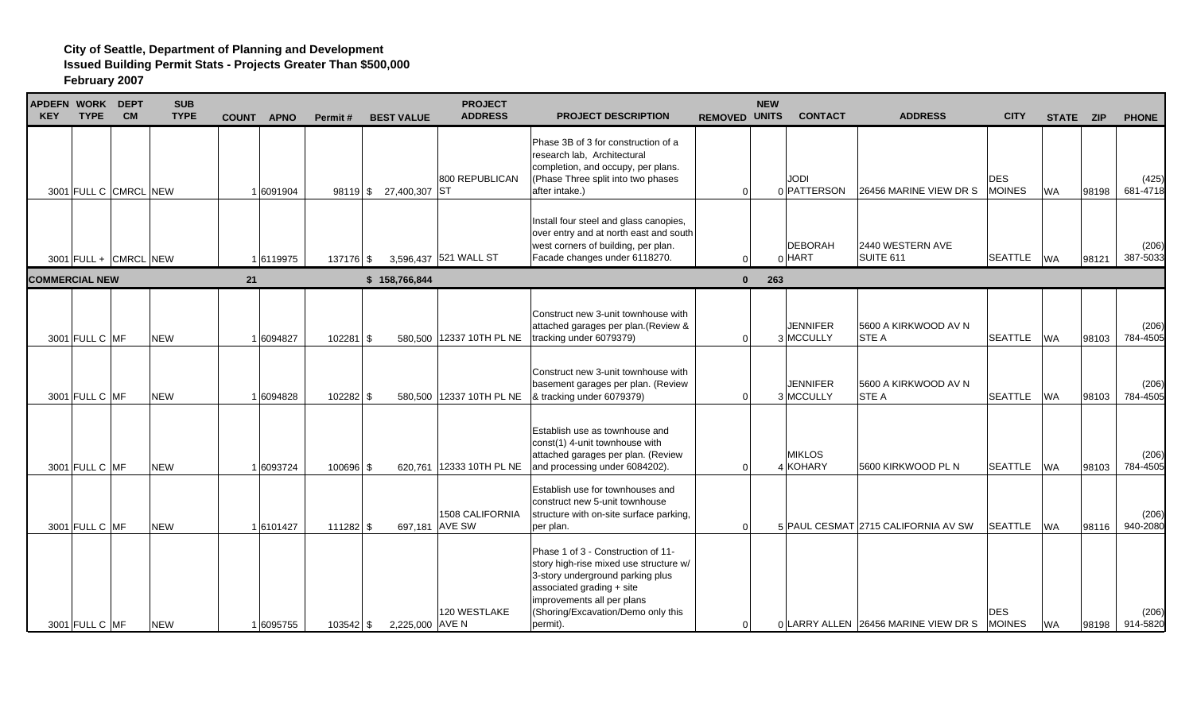| APDEFN WORK DEPT<br><b>KEY</b> | <b>TYPE</b>    | <b>CM</b>               | <b>SUB</b><br><b>TYPE</b> | <b>COUNT</b><br><b>APNO</b> | Permit#     | <b>BEST VALUE</b>      | <b>PROJECT</b><br><b>ADDRESS</b>         | <b>PROJECT DESCRIPTION</b>                                                                                                                                                                                                    | <b>REMOVED UNITS</b> | <b>NEW</b> | <b>CONTACT</b>               | <b>ADDRESS</b>                       | <b>CITY</b>                 | STATE ZIP |       | <b>PHONE</b>      |
|--------------------------------|----------------|-------------------------|---------------------------|-----------------------------|-------------|------------------------|------------------------------------------|-------------------------------------------------------------------------------------------------------------------------------------------------------------------------------------------------------------------------------|----------------------|------------|------------------------------|--------------------------------------|-----------------------------|-----------|-------|-------------------|
|                                |                | 3001 FULL C CMRCL NEW   |                           | 1 6091904                   |             | 98119 \$ 27,400,307 ST | 800 REPUBLICAN                           | Phase 3B of 3 for construction of a<br>research lab. Architectural<br>completion, and occupy, per plans.<br>(Phase Three split into two phases<br>after intake.)                                                              | $\Omega$             |            | <b>JODI</b><br>0 PATTERSON   | 26456 MARINE VIEW DR S               | <b>DES</b><br><b>MOINES</b> | <b>WA</b> | 98198 | (425)<br>681-4718 |
|                                |                | $3001$ FULL + CMRCL NEW |                           | 1 6119975                   | 137176 \$   |                        | 3,596,437 521 WALL ST                    | Install four steel and glass canopies,<br>over entry and at north east and south<br>west corners of building, per plan.<br>Facade changes under 6118270.                                                                      | $\Omega$             |            | <b>DEBORAH</b><br>$0$ HART   | 2440 WESTERN AVE<br>SUITE 611        | <b>SEATTLE</b>              | <b>WA</b> | 98121 | (206)<br>387-5033 |
| <b>COMMERCIAL NEW</b>          |                |                         |                           | 21                          |             | \$158,766,844          |                                          |                                                                                                                                                                                                                               | $\mathbf{0}$         | 263        |                              |                                      |                             |           |       |                   |
|                                | 3001 FULL C MF |                         | <b>NEW</b>                | 1 6094827                   | $102281$ \$ |                        | 580,500 12337 10TH PL NE                 | Construct new 3-unit townhouse with<br>attached garages per plan. (Review &<br>tracking under 6079379)                                                                                                                        | $\Omega$             |            | <b>JENNIFER</b><br>3 MCCULLY | 5600 A KIRKWOOD AV N<br><b>STE A</b> | <b>SEATTLE</b>              | <b>WA</b> | 98103 | (206)<br>784-4505 |
|                                | 3001 FULL C MF |                         | <b>NEW</b>                | 16094828                    | 102282 \$   |                        | 580,500 12337 10TH PL NE                 | Construct new 3-unit townhouse with<br>basement garages per plan. (Review<br>& tracking under 6079379)                                                                                                                        | $\Omega$             |            | <b>JENNIFER</b><br>3 MCCULLY | 5600 A KIRKWOOD AV N<br><b>STE A</b> | <b>SEATTLE</b>              | <b>WA</b> | 98103 | (206)<br>784-4505 |
|                                | 3001 FULL C MF |                         | <b>NEW</b>                | 1 6093724                   | $100696$ \$ |                        | 620,761 12333 10TH PL NE                 | Establish use as townhouse and<br>const(1) 4-unit townhouse with<br>attached garages per plan. (Review<br>and processing under 6084202).                                                                                      | ∩                    |            | <b>MIKLOS</b><br>4 KOHARY    | 5600 KIRKWOOD PL N                   | <b>SEATTLE</b>              | <b>WA</b> | 98103 | (206)<br>784-4505 |
|                                | 3001 FULL C MF |                         | <b>NEW</b>                | 16101427                    | 111282 \$   |                        | <b>1508 CALIFORNIA</b><br>697,181 AVE SW | Establish use for townhouses and<br>construct new 5-unit townhouse<br>structure with on-site surface parking,<br>per plan.                                                                                                    | $\Omega$             |            |                              | 5 PAUL CESMAT 2715 CALIFORNIA AV SW  | <b>SEATTLE</b>              | <b>WA</b> | 98116 | (206)<br>940-2080 |
|                                | 3001 FULL C MF |                         | <b>NEW</b>                | 16095755                    | 103542 \$   | 2,225,000 AVE N        | 120 WESTLAKE                             | Phase 1 of 3 - Construction of 11-<br>story high-rise mixed use structure w/<br>3-story underground parking plus<br>associated grading + site<br>improvements all per plans<br>(Shoring/Excavation/Demo only this<br>permit). | $\Omega$             |            |                              | 0 LARRY ALLEN 26456 MARINE VIEW DR S | DES<br><b>MOINES</b>        | <b>WA</b> | 98198 | (206)<br>914-5820 |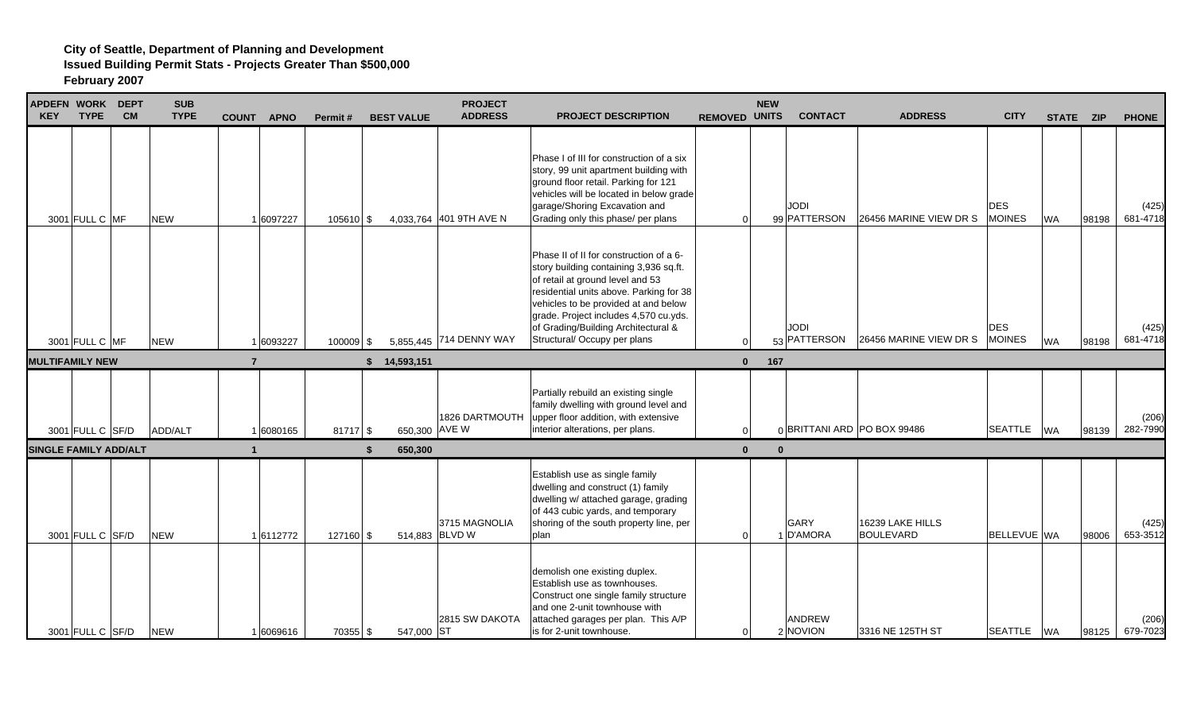| <b>APDEFN WORK DEPT</b><br><b>KEY</b> | <b>TYPE</b>      | <b>CM</b> | <b>SUB</b><br><b>TYPE</b> | <b>COUNT</b>   | <b>APNO</b> | Permit#     | <b>BEST VALUE</b> | <b>PROJECT</b><br><b>ADDRESS</b> | <b>PROJECT DESCRIPTION</b>                                                                                                                                                                                                                                                                                               | <b>REMOVED UNITS</b> | <b>NEW</b> | <b>CONTACT</b>              | <b>ADDRESS</b>                       | <b>CITY</b>                 | STATE ZIP |       | <b>PHONE</b>      |
|---------------------------------------|------------------|-----------|---------------------------|----------------|-------------|-------------|-------------------|----------------------------------|--------------------------------------------------------------------------------------------------------------------------------------------------------------------------------------------------------------------------------------------------------------------------------------------------------------------------|----------------------|------------|-----------------------------|--------------------------------------|-----------------------------|-----------|-------|-------------------|
|                                       | 3001 FULL C MF   |           | <b>NEW</b>                |                | 6097227     | $105610$ \$ |                   | 4,033,764 401 9TH AVE N          | Phase I of III for construction of a six<br>story, 99 unit apartment building with<br>ground floor retail. Parking for 121<br>vehicles will be located in below grade<br>garage/Shoring Excavation and<br>Grading only this phase/ per plans                                                                             | $\Omega$             |            | <b>JODI</b><br>99 PATTERSON | 26456 MARINE VIEW DR S               | <b>DES</b><br><b>MOINES</b> | <b>WA</b> | 98198 | (425)<br>681-4718 |
|                                       | 3001 FULL C MF   |           | <b>NEW</b>                |                | 6093227     | 100009 \$   |                   | 5,855,445 714 DENNY WAY          | Phase II of II for construction of a 6-<br>story building containing 3,936 sq.ft.<br>of retail at ground level and 53<br>residential units above. Parking for 38<br>vehicles to be provided at and below<br>grade. Project includes 4,570 cu.yds.<br>of Grading/Building Architectural &<br>Structural/ Occupy per plans | $\Omega$             |            | <b>JODI</b><br>53 PATTERSON | 26456 MARINE VIEW DR S MOINES        | <b>DES</b>                  | <b>WA</b> | 98198 | (425)<br>681-4718 |
| <b>MULTIFAMILY NEW</b>                |                  |           |                           | $\overline{7}$ |             |             | \$ 14,593,151     |                                  |                                                                                                                                                                                                                                                                                                                          | $\bf{0}$             | 167        |                             |                                      |                             |           |       |                   |
|                                       | 3001 FULL C SF/D |           | ADD/ALT                   |                | 6080165     | 81717S      |                   | 1826 DARTMOUTH<br>650,300 AVE W  | Partially rebuild an existing single<br>family dwelling with ground level and<br>upper floor addition, with extensive<br>interior alterations, per plans.                                                                                                                                                                | $\Omega$             |            |                             | 0 BRITTANI ARD PO BOX 99486          | <b>SEATTLE</b>              | <b>WA</b> | 98139 | (206)<br>282-7990 |
| <b>SINGLE FAMILY ADD/ALT</b>          |                  |           |                           |                |             |             | 650.300           |                                  |                                                                                                                                                                                                                                                                                                                          | $\mathbf{0}$         | $\Omega$   |                             |                                      |                             |           |       |                   |
|                                       | 3001 FULL C SF/D |           | <b>NEW</b>                |                | 1 6112772   | 127160 \$   |                   | 3715 MAGNOLIA<br>514.883 BLVD W  | Establish use as single family<br>dwelling and construct (1) family<br>dwelling w/ attached garage, grading<br>of 443 cubic yards, and temporary<br>shoring of the south property line, per<br>plan                                                                                                                      | $\Omega$             |            | GARY<br>1 D'AMORA           | 16239 LAKE HILLS<br><b>BOULEVARD</b> | <b>BELLEVUE WA</b>          |           | 98006 | (425)<br>653-3512 |
|                                       | 3001 FULL C SF/D |           | <b>NEW</b>                |                | 1 6069616   | 70355 \$    | 547,000 ST        | 2815 SW DAKOTA                   | demolish one existing duplex.<br>Establish use as townhouses.<br>Construct one single family structure<br>and one 2-unit townhouse with<br>attached garages per plan. This A/P<br>is for 2-unit townhouse.                                                                                                               | $\Omega$             |            | <b>ANDREW</b><br>2 NOVION   | 3316 NE 125TH ST                     | <b>SEATTLE</b>              | <b>WA</b> | 98125 | (206)<br>679-7023 |